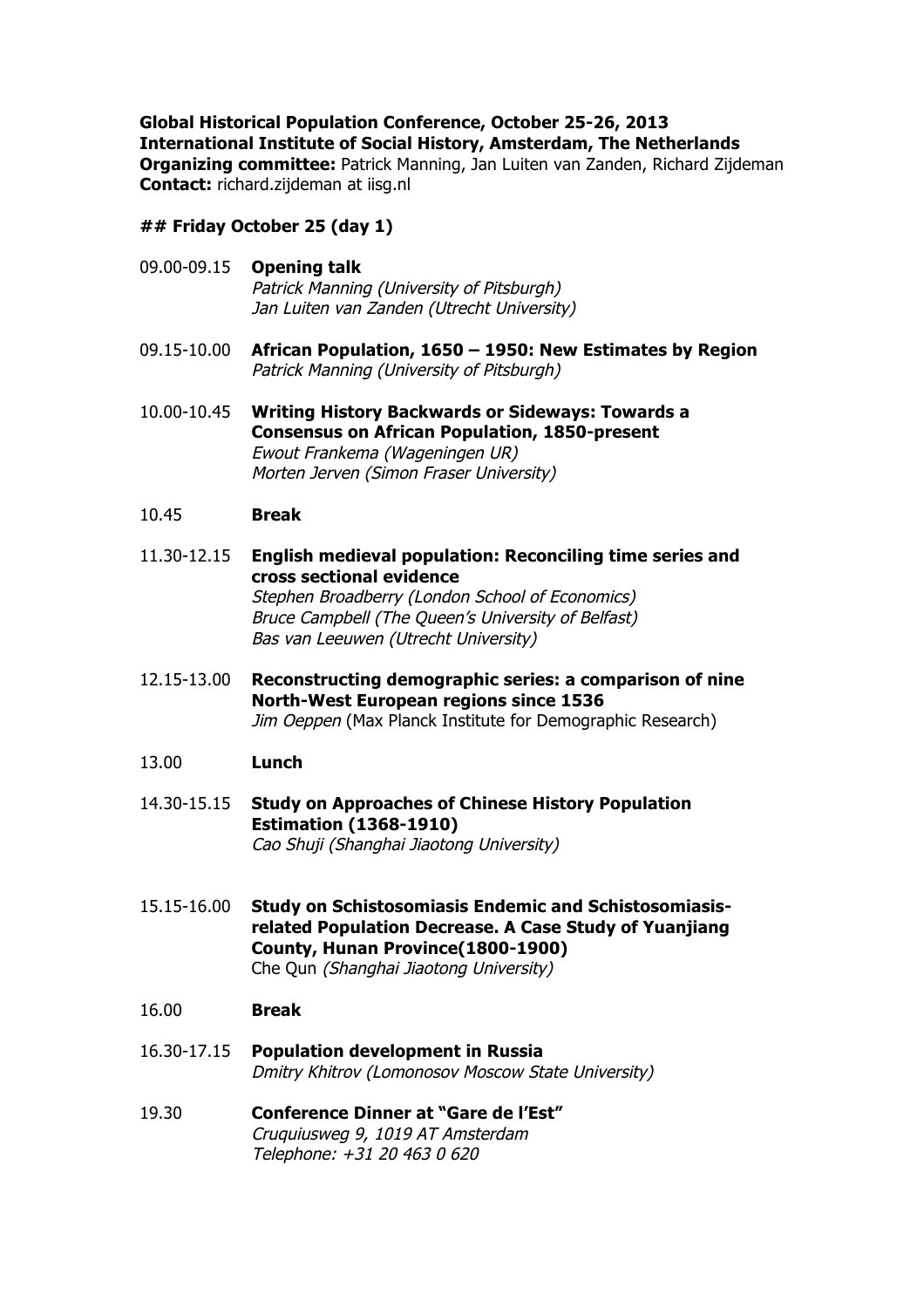**Global Historical Population Conference, October 25-26, 2013 International Institute of Social History, Amsterdam, The Netherlands Organizing committee:** Patrick Manning, Jan Luiten van Zanden, Richard Zijdeman **Contact:** richard.zijdeman at iisg.nl

**## Friday October 25 (day 1)**

- 09.00-09.15 **Opening talk** Patrick Manning (University of Pitsburgh) Jan Luiten van Zanden (Utrecht University)
- 09.15-10.00 **African Population, 1650 – 1950: New Estimates by Region** Patrick Manning (University of Pitsburgh)
- 10.00-10.45 **Writing History Backwards or Sideways: Towards a Consensus on African Population, 1850-present** Ewout Frankema (Wageningen UR) Morten Jerven (Simon Fraser University)

## 10.45 **Break**

- 11.30-12.15 **English medieval population: Reconciling time series and cross sectional evidence** Stephen Broadberry (London School of Economics) Bruce Campbell (The Queen's University of Belfast) Bas van Leeuwen (Utrecht University)
- 12.15-13.00 **Reconstructing demographic series: a comparison of nine North-West European regions since 1536** Jim Oeppen (Max Planck Institute for Demographic Research)

## 13.00 **Lunch**

- 14.30-15.15 **Study on Approaches of Chinese History Population Estimation (1368-1910)** Cao Shuji (Shanghai Jiaotong University)
- 15.15-16.00 **Study on Schistosomiasis Endemic and Schistosomiasisrelated Population Decrease. A Case Study of Yuanjiang County, Hunan Province(1800-1900)** Che Qun (Shanghai Jiaotong University)
- 16.00 **Break**
- 16.30-17.15 **Population development in Russia** Dmitry Khitrov (Lomonosov Moscow State University)
- 19.30 **Conference Dinner at "Gare de l'Est"** Cruquiusweg 9, 1019 AT Amsterdam Telephone: +31 20 463 0 620